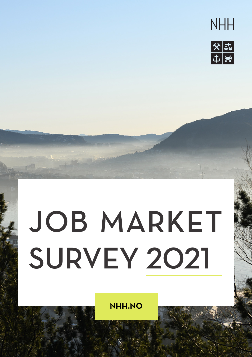



# JOB MARKET SURVEY 2021

**NHH.NO**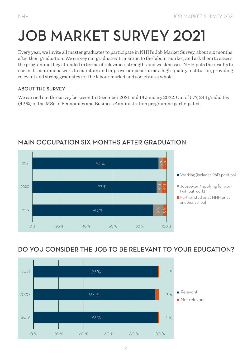## JOB MARKET SURVEY 2021

Every year, we invite all master graduates to participate in NHH's Job Market Survey, about six months after their graduation. We survey our graduates' transition to the labour market, and ask them to assess the programme they attended in terms of relevance, strengths and weaknesses. NHH puts the results to use in its continuous work to maintain and improve our position as a high-quality institution, providing relevant and strong graduates for the labour market and society as a whole.

#### ABOUT THE SURVEY

We carried out the survey between 15 December 2021 and 16 January 2022. Out of 577, 244 graduates (42 %) of the MSc in Economics and Business Administration programme participated.



#### MAIN OCCUPATION SIX MONTHS AFTER GRADUATION

#### DO YOU CONSIDER THE JOB TO BE RELEVANT TO YOUR EDUCATION?

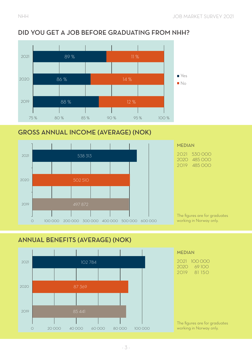#### DID YOU GET A JOB BEFORE GRADUATING FROM NHH?



#### GROSS ANNUAL INCOME (AVERAGE) (NOK)



#### ANNUAL BENEFITS (AVERAGE) (NOK)

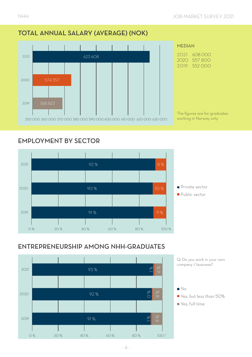#### TOTAL ANNUAL SALARY (AVERAGE) (NOK)



#### EMPLOYMENT BY SECTOR



#### ENTREPRENEURSHIP AMONG NHH-GRADUATES



Q: Do you work in your own company / business?



- $\blacksquare$  Yes, but less than 50%
- Yes, full time Yes, full time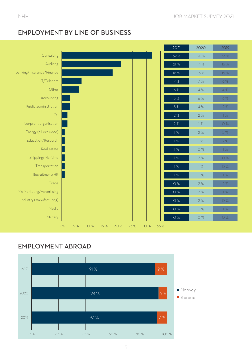

#### EMPLOYMENT BY LINE OF BUSINESS

#### EMPLOYMENT ABROAD